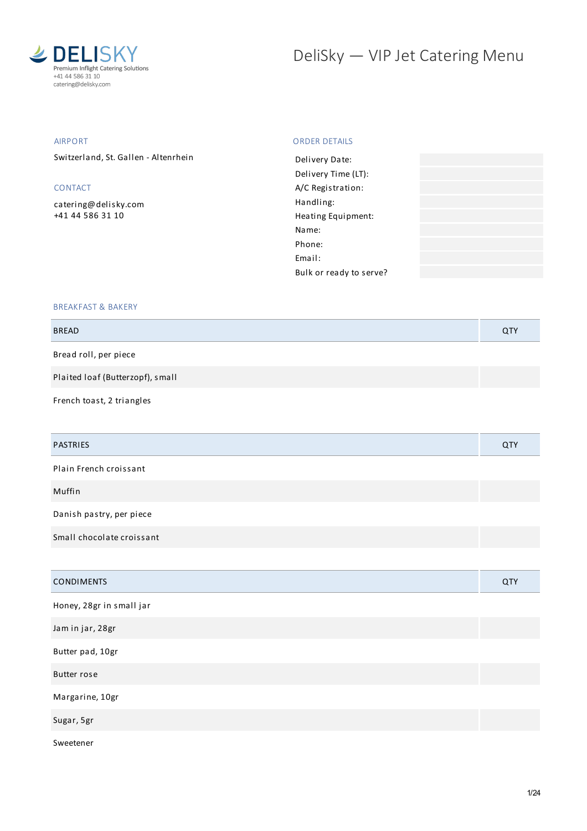

# DeliSky - VIP Jet Catering Menu

## AIRPORT

Switzerland, St. Gallen - Altenrhein

## CONTACT

[catering@delisky.com](mailto:catering@delisky.com) +41 44 586 31 10

## ORDER DETAILS

| Delivery Date:          |  |
|-------------------------|--|
| Delivery Time (LT):     |  |
| A/C Registration:       |  |
| Handling:               |  |
| Heating Equipment:      |  |
| Name:                   |  |
| Phone:                  |  |
| Fmail:                  |  |
| Bulk or ready to serve? |  |
|                         |  |

## BREAKFAST & BAKERY

| <b>BREAD</b>                     | QTY |
|----------------------------------|-----|
| Bread roll, per piece            |     |
| Plaited loaf (Butterzopf), small |     |
| French toast, 2 triangles        |     |

| PASTRIES                  | QTY |
|---------------------------|-----|
| Plain French croissant    |     |
| Muffin                    |     |
| Danish pastry, per piece  |     |
| Small chocolate croissant |     |
|                           |     |
| <b>CONDIMENTS</b>         | QTY |
| Honey, 28gr in small jar  |     |
| Jam in jar, 28gr          |     |
| Butter pad, 10gr          |     |
| <b>Butter rose</b>        |     |

Margarine, 10gr Sugar, 5gr Sweetener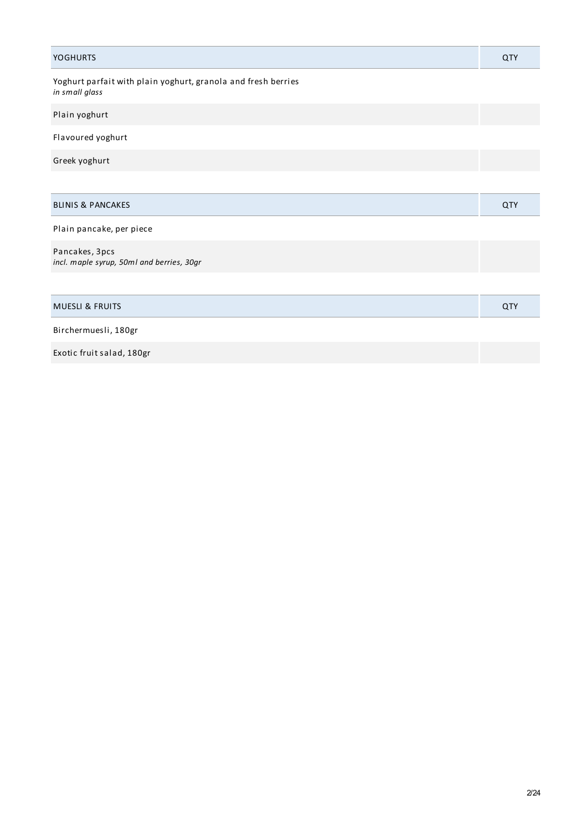| <b>YOGHURTS</b>                                                                 | QTY |
|---------------------------------------------------------------------------------|-----|
| Yoghurt parfait with plain yoghurt, granola and fresh berries<br>in small glass |     |
| Plain yoghurt                                                                   |     |
| Flavoured yoghurt                                                               |     |
| Greek yoghurt                                                                   |     |
|                                                                                 |     |
| <b>BLINIS &amp; PANCAKES</b>                                                    | QTY |
| Plain pancake, per piece                                                        |     |
| Pancakes, 3pcs<br>incl. maple syrup, 50ml and berries, 30gr                     |     |
|                                                                                 |     |
| <b>MUESLI &amp; FRUITS</b>                                                      | QTY |
| Birchermuesli, 180gr                                                            |     |
| Exotic fruit salad, 180gr                                                       |     |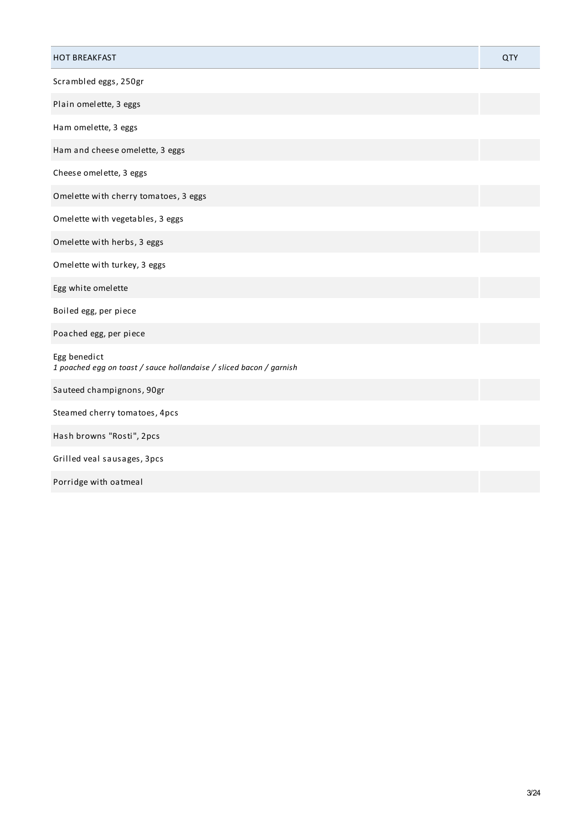| <b>HOT BREAKFAST</b>                                                                | QTY |
|-------------------------------------------------------------------------------------|-----|
| Scrambled eggs, 250gr                                                               |     |
| Plain omelette, 3 eggs                                                              |     |
| Ham omelette, 3 eggs                                                                |     |
| Ham and cheese omelette, 3 eggs                                                     |     |
| Cheese omelette, 3 eggs                                                             |     |
| Omelette with cherry tomatoes, 3 eggs                                               |     |
| Omelette with vegetables, 3 eggs                                                    |     |
| Omelette with herbs, 3 eggs                                                         |     |
| Omelette with turkey, 3 eggs                                                        |     |
| Egg white omelette                                                                  |     |
| Boiled egg, per piece                                                               |     |
| Poached egg, per piece                                                              |     |
| Egg benedict<br>1 poached egg on toast / sauce hollandaise / sliced bacon / garnish |     |
| Sauteed champignons, 90gr                                                           |     |
| Steamed cherry tomatoes, 4pcs                                                       |     |
| Hash browns "Rosti", 2pcs                                                           |     |
| Grilled veal sausages, 3pcs                                                         |     |
| Porridge with oatmeal                                                               |     |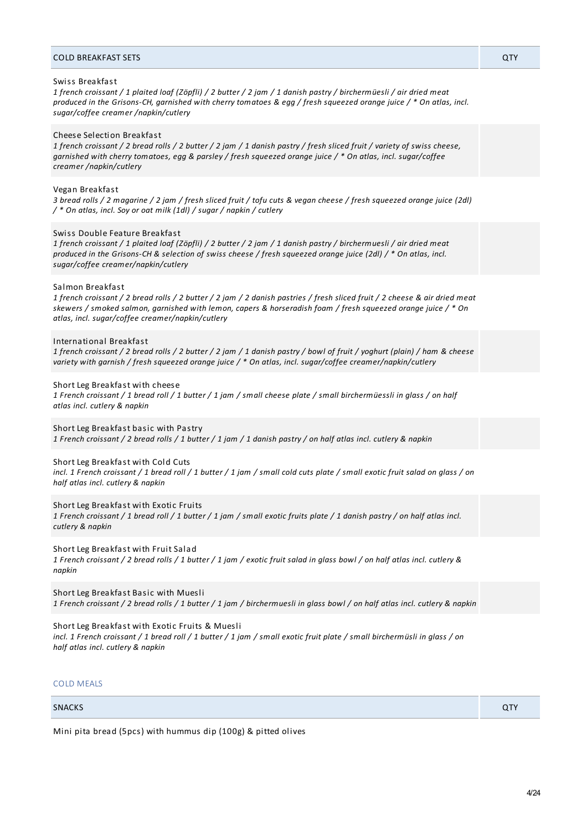#### COLD BREAKFAST SETS QTY

#### Swiss Breakfast

1 french croissant / 1 plaited loaf (Zöpfli) / 2 butter / 2 jam / 1 danish pastry / birchermüesli / air dried meat produced in the Grisons-CH, garnished with cherry tomatoes & egg / fresh squeezed orange juice / \* On atlas, incl. *sugar/coffee creamer /napkin/cutlery*

#### Cheese Selection Breakfast

1 french croissant / 2 bread rolls / 2 butter / 2 jam / 1 danish pastry / fresh sliced fruit / variety of swiss cheese, garnished with cherry tomatoes, egg & parsley / fresh squeezed orange juice / \* On atlas, incl. sugar/coffee *creamer /napkin/cutlery*

#### Vegan Breakfast

3 bread rolls / 2 magarine / 2 jam / fresh sliced fruit / tofu cuts & vegan cheese / fresh squeezed orange juice (2dl) */ \* On atlas, incl. Soy or oat milk (1dl) / sugar / napkin / cutlery*

#### Swiss Double Feature Breakfast

1 french croissant / 1 plaited loaf (Zöpfli) / 2 butter / 2 jam / 1 danish pastry / birchermuesli / air dried meat produced in the Grisons-CH & selection of swiss cheese / fresh squeezed orange juice (2dl) / \* On atlas, incl. *sugar/coffee creamer/napkin/cutlery*

#### Salmon Breakfast

1 french croissant / 2 bread rolls / 2 butter / 2 jam / 2 danish pastries / fresh sliced fruit / 2 cheese & air dried meat skewers / smoked salmon, garnished with lemon, capers & horseradish foam / fresh squeezed orange juice / \* On *atlas, incl. sugar/coffee creamer/napkin/cutlery*

#### International Breakfast

1 french croissant / 2 bread rolls / 2 butter / 2 jam / 1 danish pastry / bowl of fruit / yoghurt (plain) / ham & cheese *variety with garnish / fresh squeezed orange juice / \* On atlas, incl. sugar/coffee creamer/napkin/cutlery*

#### Short Leg Breakfast with cheese

1 French croissant / 1 bread roll / 1 butter / 1 jam / small cheese plate / small birchermüessli in glass / on half *atlas incl. cutlery & napkin*

Short Leg Breakfast basic with Pastry

1 French croissant / 2 bread rolls / 1 butter / 1 jam / 1 danish pastry / on half atlas incl. cutlery & napkin

#### Short Leg Breakfast with Cold Cuts

incl. 1 French croissant / 1 bread roll / 1 butter / 1 jam / small cold cuts plate / small exotic fruit salad on glass / on *half atlas incl. cutlery & napkin*

#### Short Leg Breakfast with Exotic Fruits

1 French croissant / 1 bread roll / 1 butter / 1 jam / small exotic fruits plate / 1 danish pastry / on half atlas incl. *cutlery & napkin*

#### Short Leg Breakfast with Fruit Salad

1 French croissant / 2 bread rolls / 1 butter / 1 jam / exotic fruit salad in glass bowl / on half atlas incl. cutlery & *napkin*

Short Leg Breakfast Basic with Muesli 1 French croissant / 2 bread rolls / 1 butter / 1 jam / birchermuesli in glass bowl / on half atlas incl. cutlery & napkin

Short Leg Breakfast with Exotic Fruits & Muesli

incl. 1 French croissant / 1 bread roll / 1 butter / 1 jam / small exotic fruit plate / small birchermüsli in glass / on *half atlas incl. cutlery & napkin*

## COLD MEALS

## SNACKS **QTY QTY**

Mini pita bread (5pcs) with hummus dip (100g) & pitted olives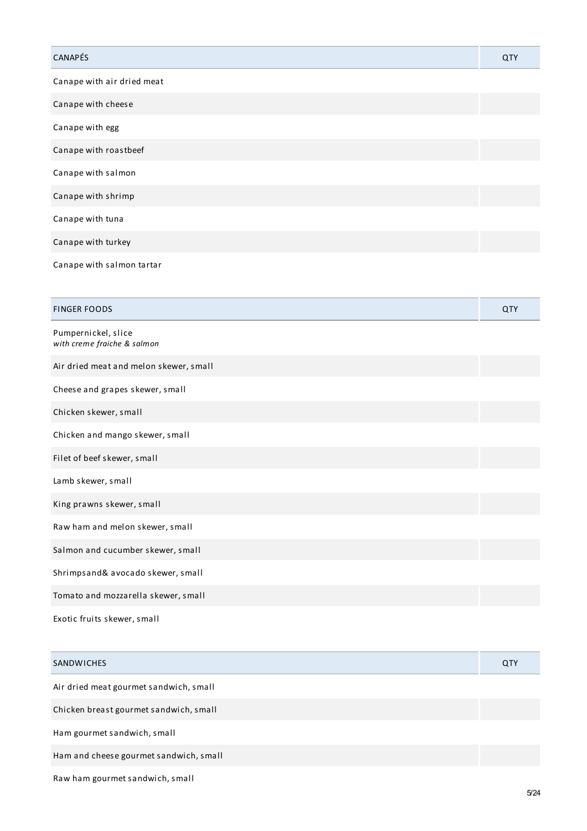| CANAPÉS                    | QTY |
|----------------------------|-----|
| Canape with air dried meat |     |
| Canape with cheese         |     |
| Canape with egg            |     |
| Canape with roastbeef      |     |
| Canape with salmon         |     |
| Canape with shrimp         |     |
| Canape with tuna           |     |
| Canape with turkey         |     |
| Canape with salmon tartar  |     |
| <b>FINGER FOODS</b>        | QTY |

| Pumpernickel, slice<br>with creme fraiche & salmon |  |
|----------------------------------------------------|--|
| Air dried meat and melon skewer, small             |  |
| Cheese and grapes skewer, small                    |  |
| Chicken skewer, small                              |  |
| Chicken and mango skewer, small                    |  |
| Filet of beef skewer, small                        |  |
| Lamb skewer, small                                 |  |
| King prawns skewer, small                          |  |
| Raw ham and melon skewer, small                    |  |
| Salmon and cucumber skewer, small                  |  |
| Shrimpsand& avocado skewer, small                  |  |
| Tomato and mozzarella skewer, small                |  |

Exotic fruits skewer, small

| SANDWICHES                             | QTY |
|----------------------------------------|-----|
| Air dried meat gourmet sandwich, small |     |
| Chicken breast gourmet sandwich, small |     |
| Ham gourmet sandwich, small            |     |
| Ham and cheese gourmet sandwich, small |     |
| Raw ham gourmet sandwich, small        |     |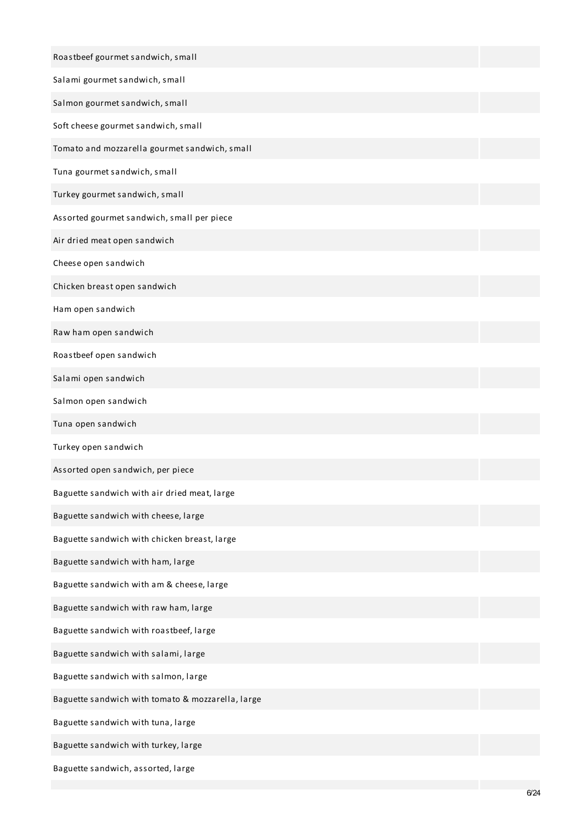| Roastbeef gourmet sandwich, small                 |  |
|---------------------------------------------------|--|
| Salami gourmet sandwich, small                    |  |
| Salmon gourmet sandwich, small                    |  |
| Soft cheese gourmet sandwich, small               |  |
| Tomato and mozzarella gourmet sandwich, small     |  |
| Tuna gourmet sandwich, small                      |  |
| Turkey gourmet sandwich, small                    |  |
| Assorted gourmet sandwich, small per piece        |  |
| Air dried meat open sandwich                      |  |
| Cheese open sandwich                              |  |
| Chicken breast open sandwich                      |  |
| Ham open sandwich                                 |  |
| Raw ham open sandwich                             |  |
| Roastbeef open sandwich                           |  |
| Salami open sandwich                              |  |
| Salmon open sandwich                              |  |
| Tuna open sandwich                                |  |
| Turkey open sandwich                              |  |
| Assorted open sandwich, per piece                 |  |
| Baguette sandwich with air dried meat, large      |  |
| Baguette sandwich with cheese, large              |  |
| Baguette sandwich with chicken breast, large      |  |
| Baguette sandwich with ham, large                 |  |
| Baguette sandwich with am & cheese, large         |  |
| Baguette sandwich with raw ham, large             |  |
| Baguette sandwich with roastbeef, large           |  |
| Baguette sandwich with salami, large              |  |
| Baguette sandwich with salmon, large              |  |
| Baguette sandwich with tomato & mozzarella, large |  |
| Baguette sandwich with tuna, large                |  |
| Baguette sandwich with turkey, large              |  |
| Baguette sandwich, assorted, large                |  |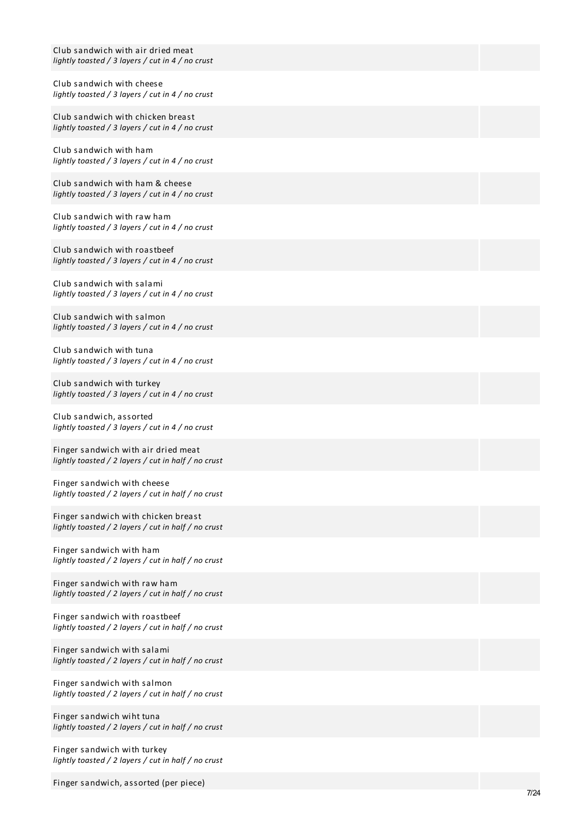| Club sandwich with air dried meat<br>lightly toasted / 3 layers / cut in $4$ / no crust    |
|--------------------------------------------------------------------------------------------|
| Club sandwich with cheese<br>lightly toasted / 3 layers / cut in $4$ / no crust            |
| Club sandwich with chicken breast<br>lightly toasted / 3 layers / cut in 4 / no crust      |
| Club sandwich with ham<br>lightly toasted / 3 layers / cut in 4 / no crust                 |
| Club sandwich with ham & cheese<br>lightly toasted / 3 layers / cut in $4$ / no crust      |
| Club sandwich with raw ham<br>lightly toasted / 3 layers / cut in 4 / no crust             |
| Club sandwich with roastbeef<br>lightly toasted / 3 layers / cut in 4 / no crust           |
| Club sandwich with salami<br>lightly toasted / 3 layers / cut in $4$ / no crust            |
| Club sandwich with salmon<br>lightly toasted / 3 layers / cut in 4 / no crust              |
| Club sandwich with tuna<br>lightly toasted / 3 layers / cut in 4 / no crust                |
| Club sandwich with turkey<br>lightly toasted / 3 layers / cut in 4 / no crust              |
| Club sandwich, assorted<br>lightly toasted / 3 layers / cut in 4 / no crust                |
| Finger sandwich with air dried meat<br>lightly toasted / 2 layers / cut in half / no crust |
| Finger sandwich with cheese<br>lightly toasted / 2 layers / cut in half / no crust         |
| Finger sandwich with chicken breast<br>lightly toasted / 2 layers / cut in half / no crust |
| Finger sandwich with ham<br>lightly toasted / 2 layers / cut in half / no crust            |
| Finger sandwich with raw ham<br>lightly toasted / 2 layers / cut in half / no crust        |
| Finger sandwich with roastbeef<br>lightly toasted / 2 layers / cut in half / no crust      |
| Finger sandwich with salami<br>lightly toasted / 2 layers / cut in half / no crust         |
| Finger sandwich with salmon<br>lightly toasted / 2 layers / cut in half / no crust         |
| Finger sandwich wiht tuna<br>lightly toasted / 2 layers / cut in half / no crust           |
|                                                                                            |

Finger sandwich with turkey lightly toasted / 2 layers / cut in half / no crust

Finger sandwich, assorted (per piece)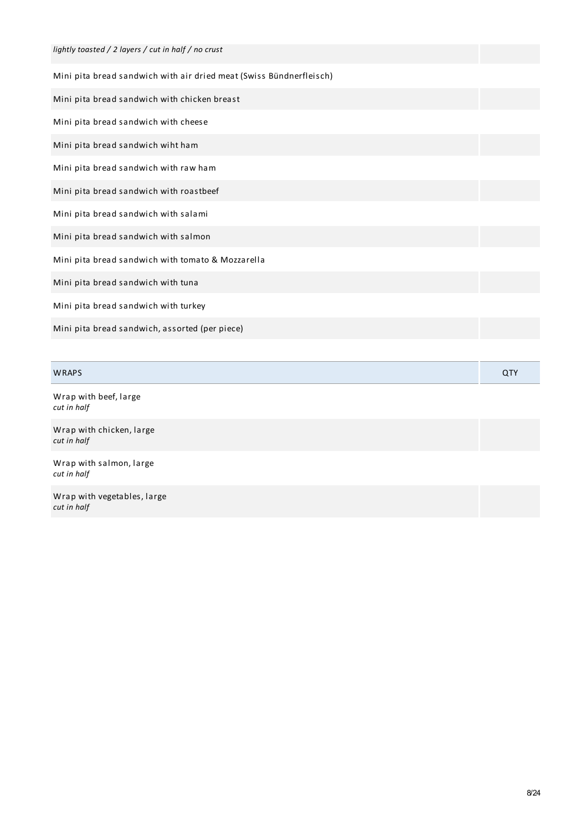| lightly toasted / 2 layers / cut in half / no crust                 |  |
|---------------------------------------------------------------------|--|
| Mini pita bread sandwich with air dried meat (Swiss Bündnerfleisch) |  |
| Mini pita bread sandwich with chicken breast                        |  |
| Mini pita bread sandwich with cheese                                |  |
| Mini pita bread sandwich wiht ham                                   |  |
| Mini pita bread sandwich with raw ham                               |  |
| Mini pita bread sandwich with roastbeef                             |  |
| Mini pita bread sandwich with salami                                |  |
| Mini pita bread sandwich with salmon                                |  |
| Mini pita bread sandwich with tomato & Mozzarella                   |  |
| Mini pita bread sandwich with tuna                                  |  |
| Mini pita bread sandwich with turkey                                |  |
| Mini pita bread sandwich, assorted (per piece)                      |  |
|                                                                     |  |

| <b>WRAPS</b>                               | QTY |
|--------------------------------------------|-----|
| Wrap with beef, large<br>cut in half       |     |
| Wrap with chicken, large<br>cut in half    |     |
| Wrap with salmon, large<br>cut in half     |     |
| Wrap with vegetables, large<br>cut in half |     |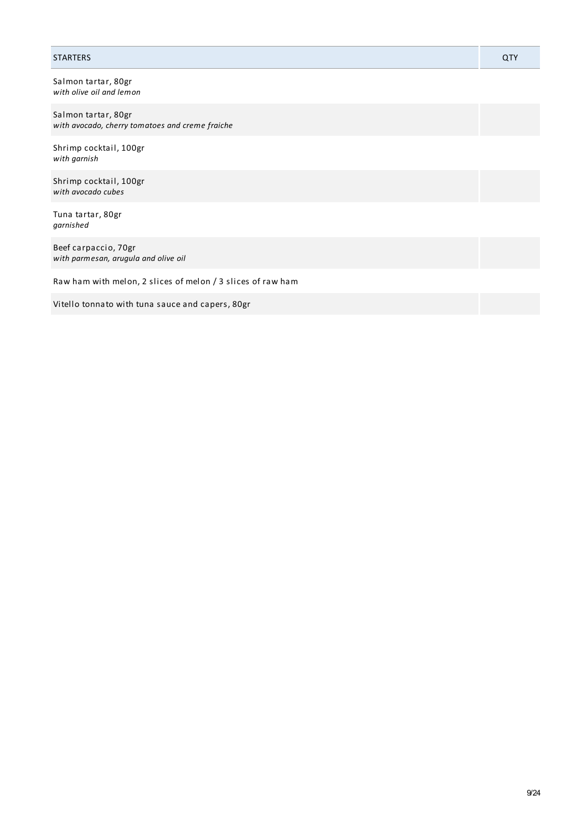## STARTERS QTY

Salmon tartar, 80gr *with olive oil and lemon*

Salmon tartar, 80gr *with avocado, cherry tomatoes and creme fraiche*

Shrimp cocktail, 100gr *with garnish*

Shrimp cocktail, 100gr *with avocado cubes*

Tuna tartar, 80gr *garnished*

Beef carpaccio, 70gr *with parmesan, arugula and olive oil*

Raw ham with melon, 2 slices of melon / 3 slices of raw ham

Vitello tonnato with tuna sauce and capers, 80gr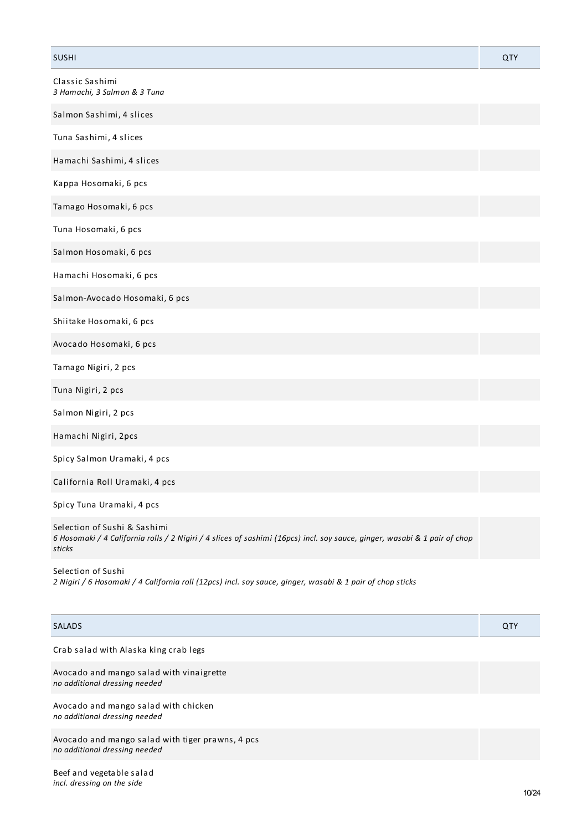| <b>SUSHI</b>                                                                                                                                                        | QTY |
|---------------------------------------------------------------------------------------------------------------------------------------------------------------------|-----|
| Classic Sashimi<br>3 Hamachi, 3 Salmon & 3 Tuna                                                                                                                     |     |
| Salmon Sashimi, 4 slices                                                                                                                                            |     |
| Tuna Sashimi, 4 slices                                                                                                                                              |     |
| Hamachi Sashimi, 4 slices                                                                                                                                           |     |
| Kappa Hosomaki, 6 pcs                                                                                                                                               |     |
| Tamago Hosomaki, 6 pcs                                                                                                                                              |     |
| Tuna Hosomaki, 6 pcs                                                                                                                                                |     |
| Salmon Hosomaki, 6 pcs                                                                                                                                              |     |
| Hamachi Hosomaki, 6 pcs                                                                                                                                             |     |
| Salmon-Avocado Hosomaki, 6 pcs                                                                                                                                      |     |
| Shiitake Hosomaki, 6 pcs                                                                                                                                            |     |
| Avocado Hosomaki, 6 pcs                                                                                                                                             |     |
| Tamago Nigiri, 2 pcs                                                                                                                                                |     |
| Tuna Nigiri, 2 pcs                                                                                                                                                  |     |
| Salmon Nigiri, 2 pcs                                                                                                                                                |     |
| Hamachi Nigiri, 2pcs                                                                                                                                                |     |
| Spicy Salmon Uramaki, 4 pcs                                                                                                                                         |     |
| California Roll Uramaki, 4 pcs                                                                                                                                      |     |
| Spicy Tuna Uramaki, 4 pcs                                                                                                                                           |     |
| Selection of Sushi & Sashimi<br>6 Hosomaki / 4 California rolls / 2 Nigiri / 4 slices of sashimi (16pcs) incl. soy sauce, ginger, wasabi & 1 pair of chop<br>sticks |     |
| Selection of Sushi                                                                                                                                                  |     |

2 Nigiri / 6 Hosomaki / 4 California roll (12pcs) incl. soy sauce, ginger, wasabi & 1 pair of chop sticks

| <b>SALADS</b>                                                                     | QTY |
|-----------------------------------------------------------------------------------|-----|
| Crab salad with Alaska king crab legs                                             |     |
| Avocado and mango salad with vinaigrette<br>no additional dressing needed         |     |
| Avocado and mango salad with chicken<br>no additional dressing needed             |     |
| Avocado and mango salad with tiger prawns, 4 pcs<br>no additional dressing needed |     |
|                                                                                   |     |

Beef and vegetable salad *incl. dressing on the side*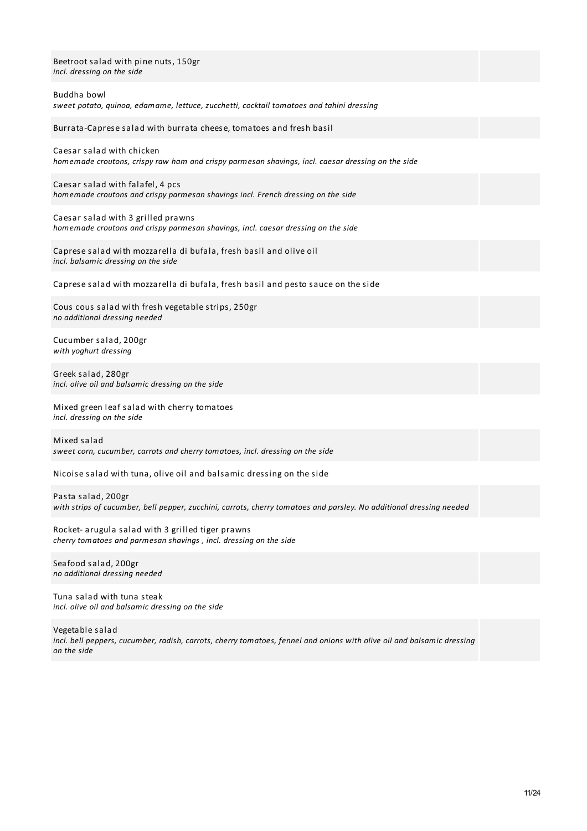| Beetroot salad with pine nuts, 150gr<br>incl. dressing on the side                                                                        |
|-------------------------------------------------------------------------------------------------------------------------------------------|
| Buddha bowl<br>sweet potato, quinoa, edamame, lettuce, zucchetti, cocktail tomatoes and tahini dressing                                   |
| Burrata-Caprese salad with burrata cheese, tomatoes and fresh basil                                                                       |
| Caesar salad with chicken<br>homemade croutons, crispy raw ham and crispy parmesan shavings, incl. caesar dressing on the side            |
| Caesar salad with falafel, 4 pcs<br>homemade croutons and crispy parmesan shavings incl. French dressing on the side                      |
| Caesar salad with 3 grilled prawns<br>homemade croutons and crispy parmesan shavings, incl. caesar dressing on the side                   |
| Caprese salad with mozzarella di bufala, fresh basil and olive oil<br>incl. balsamic dressing on the side                                 |
| Caprese salad with mozzarella di bufala, fresh basil and pesto sauce on the side                                                          |
| Cous cous salad with fresh vegetable strips, 250gr<br>no additional dressing needed                                                       |
| Cucumber salad, 200gr<br>with yoghurt dressing                                                                                            |
| Greek salad, 280gr<br>incl. olive oil and balsamic dressing on the side                                                                   |
| Mixed green leaf salad with cherry tomatoes<br>incl. dressing on the side                                                                 |
| Mixed salad<br>sweet corn, cucumber, carrots and cherry tomatoes, incl. dressing on the side                                              |
| Nicoise salad with tuna, olive oil and balsamic dressing on the side                                                                      |
| Pasta salad, 200gr<br>with strips of cucumber, bell pepper, zucchini, carrots, cherry tomatoes and parsley. No additional dressing needed |
| Rocket- arugula salad with 3 grilled tiger prawns<br>cherry tomatoes and parmesan shavings, incl. dressing on the side                    |
| Seafood salad, 200gr<br>no additional dressing needed                                                                                     |
| Tuna salad with tuna steak<br>incl. olive oil and balsamic dressing on the side                                                           |

Vegetable salad incl. bell peppers, cucumber, radish, carrots, cherry tomatoes, fennel and onions with olive oil and balsamic dressing *on the side*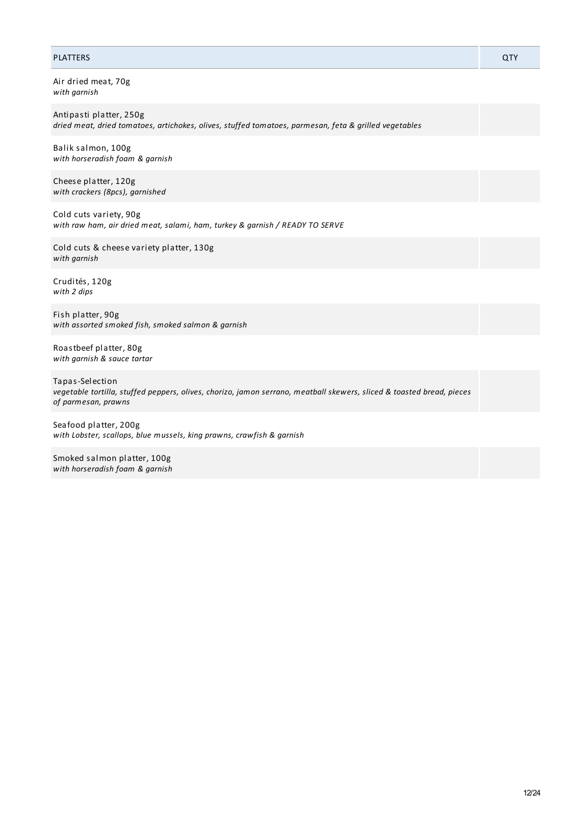## PLATTERS QTY

Air dried meat, 70g *with garnish*

Antipasti platter, 250g *dried meat, dried tomatoes, artichokes, olives, stuffed tomatoes, parmesan, feta & grilled vegetables*

Balik salmon, 100g *with horseradish foam & garnish*

Cheese platter, 120g *with crackers (8pcs), garnished*

Cold cuts variety, 90g *with raw ham, air dried meat, salami, ham, turkey & garnish / READY TO SERVE*

Cold cuts & cheese variety platter, 130g *with garnish*

Crudités, 120g *with 2 dips*

Fish platter, 90g *with assorted smoked fish, smoked salmon & garnish*

Roastbeef platter, 80g *with garnish & sauce tartar*

Tapas-Selection *vegetable tortilla, stuffed peppers, olives, chorizo, jamon serrano, meatball skewers, sliced & toasted bread, pieces of parmesan, prawns*

Seafood platter, 200g *with Lobster, scallops, blue mussels, king prawns, crawfish & garnish*

Smoked salmon platter, 100g *with horseradish foam & garnish*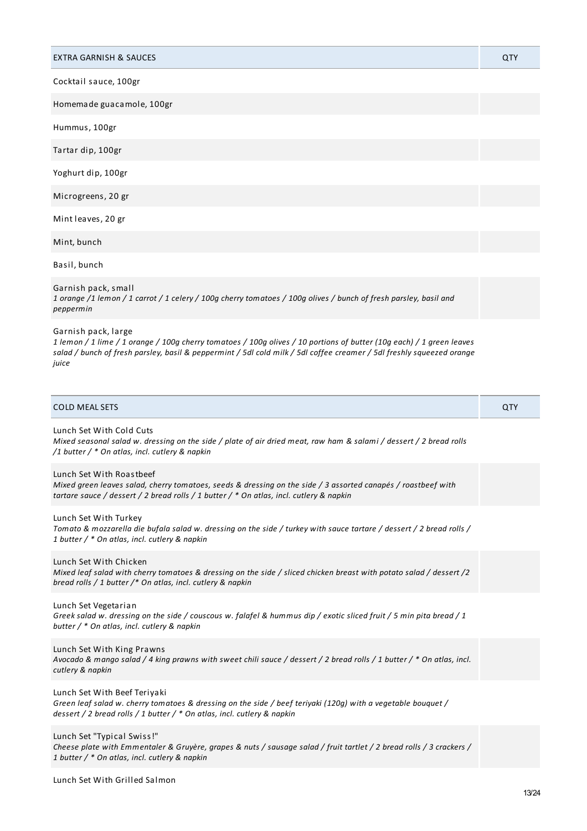| <b>EXTRA GARNISH &amp; SAUCES</b>                                                                                                                                                                                                                                             | QTY |
|-------------------------------------------------------------------------------------------------------------------------------------------------------------------------------------------------------------------------------------------------------------------------------|-----|
| Cocktail sauce, 100gr                                                                                                                                                                                                                                                         |     |
| Homemade guacamole, 100gr                                                                                                                                                                                                                                                     |     |
| Hummus, 100gr                                                                                                                                                                                                                                                                 |     |
| Tartar dip, 100gr                                                                                                                                                                                                                                                             |     |
| Yoghurt dip, 100gr                                                                                                                                                                                                                                                            |     |
| Microgreens, 20 gr                                                                                                                                                                                                                                                            |     |
| Mint leaves, 20 gr                                                                                                                                                                                                                                                            |     |
| Mint, bunch                                                                                                                                                                                                                                                                   |     |
| Basil, bunch                                                                                                                                                                                                                                                                  |     |
| Garnish pack, small<br>1 orange /1 lemon / 1 carrot / 1 celery / 100g cherry tomatoes / 100g olives / bunch of fresh parsley, basil and<br>peppermin                                                                                                                          |     |
| Garnish pack, large<br>1 lemon / 1 lime / 1 orange / 100g cherry tomatoes / 100g olives / 10 portions of butter (10g each) / 1 green leaves<br>salad / bunch of fresh parsley, basil & peppermint / 5dl cold milk / 5dl coffee creamer / 5dl freshly squeezed orange<br>juice |     |
| <b>COLD MEAL SETS</b>                                                                                                                                                                                                                                                         | QTY |
| Lunch Set With Cold Cuts<br>Mixed seasonal salad w. dressing on the side / plate of air dried meat, raw ham & salami / dessert / 2 bread rolls<br>/1 butter / * On atlas, incl. cutlery & napkin                                                                              |     |
| Lunch Set With Roastbeef<br>Mixed green leaves salad, cherry tomatoes, seeds & dressing on the side / 3 assorted canapés / roastbeef with<br>tartare sauce / dessert / 2 bread rolls / 1 butter / * On atlas, incl. cutlery & napkin                                          |     |
| Lunch Set With Turkey<br>Tomato & mozzarella die bufala salad w. dressing on the side / turkey with sauce tartare / dessert / 2 bread rolls /<br>1 butter / * On atlas, incl. cutlery & napkin                                                                                |     |
| Lunch Set With Chicken<br>Mixed leaf salad with cherry tomatoes & dressing on the side / sliced chicken breast with potato salad / dessert /2<br>bread rolls / 1 butter /* On atlas, incl. cutlery & napkin                                                                   |     |
| Lunch Set Vegetarian<br>Greek salad w. dressing on the side / couscous w. falafel & hummus dip / exotic sliced fruit / 5 min pita bread / 1<br>butter / * On atlas, incl. cutlery & napkin                                                                                    |     |
| Lunch Set With King Prawns<br>Avocado & mango salad / 4 king prawns with sweet chili sauce / dessert / 2 bread rolls / 1 butter / * On atlas, incl.<br>cutlery & napkin                                                                                                       |     |
| Lunch Set With Beef Teriyaki<br>Green leaf salad w. cherry tomatoes & dressing on the side / beef teriyaki (120g) with a vegetable bouquet /                                                                                                                                  |     |
| dessert / 2 bread rolls / 1 butter / * On atlas, incl. cutlery & napkin                                                                                                                                                                                                       |     |
| Lunch Set "Typical Swiss!"<br>Cheese plate with Emmentaler & Gruyère, grapes & nuts / sausage salad / fruit tartlet / 2 bread rolls / 3 crackers /<br>1 butter / * On atlas, incl. cutlery & napkin                                                                           |     |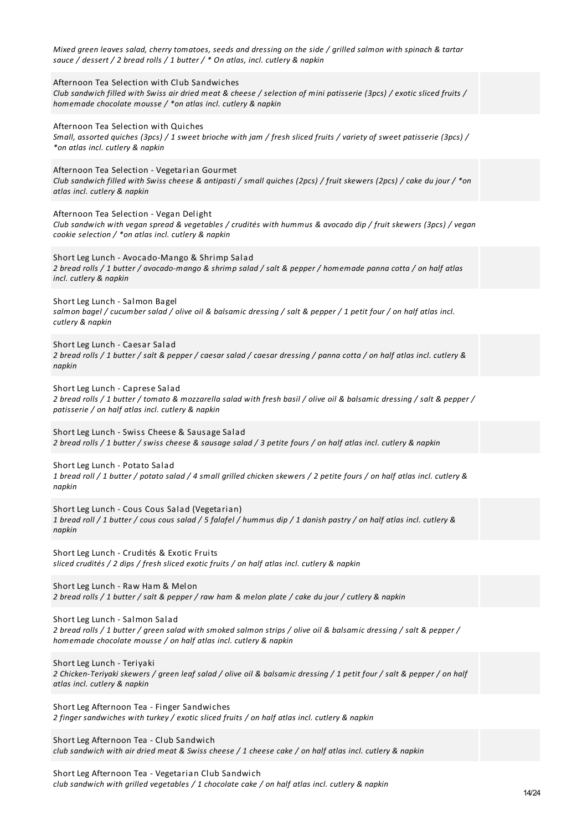| Mixed green leaves salad, cherry tomatoes, seeds and dressing on the side / grilled salmon with spinach & tartar<br>sauce / dessert / 2 bread rolls / 1 butter / * On atlas, incl. cutlery & napkin                                    |
|----------------------------------------------------------------------------------------------------------------------------------------------------------------------------------------------------------------------------------------|
| Afternoon Tea Selection with Club Sandwiches<br>Club sandwich filled with Swiss air dried meat & cheese / selection of mini patisserie (3pcs) / exotic sliced fruits /<br>homemade chocolate mousse / *on atlas incl. cutlery & napkin |
| Afternoon Tea Selection with Quiches<br>Small, assorted quiches (3pcs) / 1 sweet brioche with jam / fresh sliced fruits / variety of sweet patisserie (3pcs) /<br>*on atlas incl. cutlery & napkin                                     |
| Afternoon Tea Selection - Vegetarian Gourmet<br>Club sandwich filled with Swiss cheese & antipasti / small quiches (2pcs) / fruit skewers (2pcs) / cake du jour / *on<br>atlas incl. cutlery & napkin                                  |
| Afternoon Tea Selection - Vegan Delight<br>Club sandwich with vegan spread & vegetables / crudités with hummus & avocado dip / fruit skewers (3pcs) / vegan<br>cookie selection / *on atlas incl. cutlery & napkin                     |
| Short Leg Lunch - Avocado-Mango & Shrimp Salad<br>2 bread rolls / 1 butter / avocado-mango & shrimp salad / salt & pepper / homemade panna cotta / on half atlas<br>incl. cutlery & napkin                                             |
| Short Leg Lunch - Salmon Bagel<br>salmon bagel / cucumber salad / olive oil & balsamic dressing / salt & pepper / 1 petit four / on half atlas incl.<br>cutlery & napkin                                                               |
| Short Leg Lunch - Caesar Salad<br>2 bread rolls / 1 butter / salt & pepper / caesar salad / caesar dressing / panna cotta / on half atlas incl. cutlery &<br>napkin                                                                    |
| Short Leg Lunch - Caprese Salad<br>2 bread rolls / 1 butter / tomato & mozzarella salad with fresh basil / olive oil & balsamic dressing / salt & pepper /<br>patisserie / on half atlas incl. cutlery & napkin                        |
| Short Leg Lunch - Swiss Cheese & Sausage Salad<br>2 bread rolls / 1 butter / swiss cheese & sausage salad / 3 petite fours / on half atlas incl. cutlery & napkin                                                                      |
| Short Leg Lunch - Potato Salad<br>1 bread roll / 1 butter / potato salad / 4 small grilled chicken skewers / 2 petite fours / on half atlas incl. cutlery &<br>napkin                                                                  |
| Short Leg Lunch - Cous Cous Salad (Vegetarian)<br>1 bread roll / 1 butter / cous cous salad / 5 falafel / hummus dip / 1 danish pastry / on half atlas incl. cutlery &<br>napkin                                                       |
| Short Leg Lunch - Crudités & Exotic Fruits<br>sliced crudités / 2 dips / fresh sliced exotic fruits / on half atlas incl. cutlery & napkin                                                                                             |
| Short Leg Lunch - Raw Ham & Melon<br>2 bread rolls / 1 butter / salt & pepper / raw ham & melon plate / cake du jour / cutlery & napkin                                                                                                |
| Short Leg Lunch - Salmon Salad<br>2 bread rolls / 1 butter / green salad with smoked salmon strips / olive oil & balsamic dressing / salt & pepper /<br>homemade chocolate mousse / on half atlas incl. cutlery & napkin               |
| Short Leg Lunch - Teriyaki<br>2 Chicken-Teriyaki skewers / green leaf salad / olive oil & balsamic dressing / 1 petit four / salt & pepper / on half<br>atlas incl. cutlery & napkin                                                   |
| Short Leg Afternoon Tea - Finger Sandwiches<br>2 finger sandwiches with turkey / exotic sliced fruits / on half atlas incl. cutlery & napkin                                                                                           |
| Short Leg Afternoon Tea - Club Sandwich<br>club sandwich with air dried meat & Swiss cheese / 1 cheese cake / on half atlas incl. cutlery & napkin                                                                                     |
|                                                                                                                                                                                                                                        |

Short Leg Afternoon Tea - Vegetarian Club Sandwich *club sandwich with grilled vegetables / 1 chocolate cake / on half atlas incl. cutlery & napkin*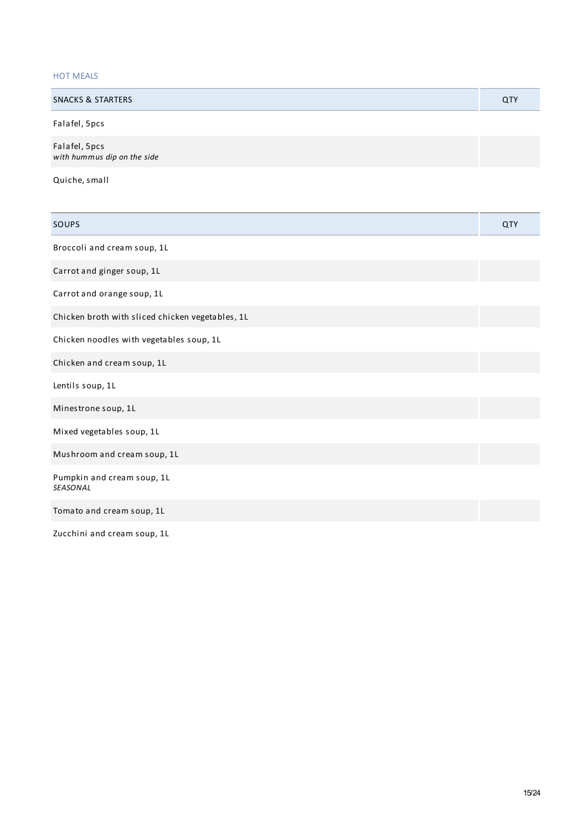## HOT MEALS

| <b>SNACKS &amp; STARTERS</b> | QTY |
|------------------------------|-----|
| Falafel, 5pcs                |     |
| Ealafol Ence                 |     |

Falafel, 5pcs *with hummus dip on the side*

Quiche, small

| SOUPS                                            | QTY |
|--------------------------------------------------|-----|
| Broccoli and cream soup, 1L                      |     |
| Carrot and ginger soup, 1L                       |     |
| Carrot and orange soup, 1L                       |     |
| Chicken broth with sliced chicken vegetables, 1L |     |
| Chicken noodles with vegetables soup, 1L         |     |
| Chicken and cream soup, 1L                       |     |
| Lentils soup, 1L                                 |     |
| Minestrone soup, 1L                              |     |
| Mixed vegetables soup, 1L                        |     |
| Mushroom and cream soup, 1L                      |     |
| Pumpkin and cream soup, 1L<br><b>SEASONAL</b>    |     |
| Tomato and cream soup, 1L                        |     |
| Zucchini and cream soup, 1L                      |     |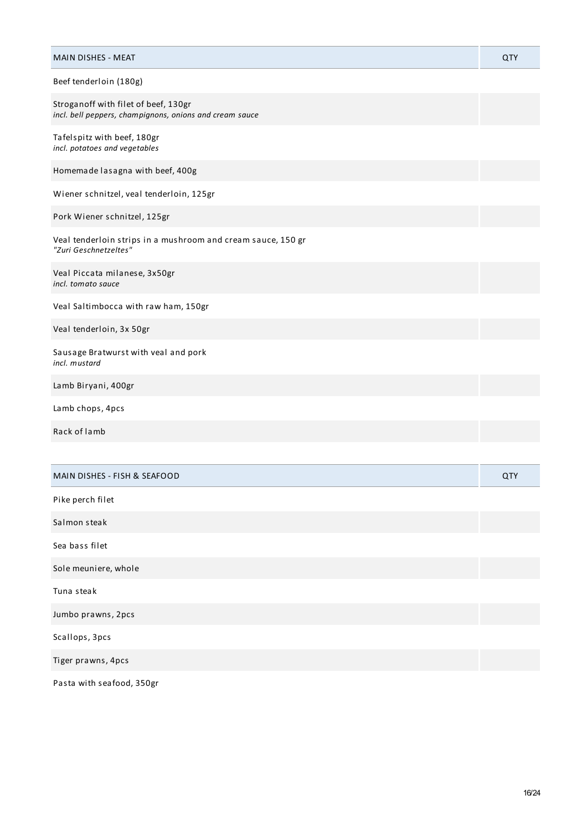| <b>MAIN DISHES - MEAT</b>                                                                       | QTY |
|-------------------------------------------------------------------------------------------------|-----|
| Beef tenderloin (180g)                                                                          |     |
| Stroganoff with filet of beef, 130gr<br>incl. bell peppers, champignons, onions and cream sauce |     |
| Tafelspitz with beef, 180gr<br>incl. potatoes and vegetables                                    |     |
| Homemade lasagna with beef, 400g                                                                |     |
| Wiener schnitzel, veal tenderloin, 125gr                                                        |     |
| Pork Wiener schnitzel, 125gr                                                                    |     |
| Veal tenderloin strips in a mushroom and cream sauce, 150 gr<br>"Zuri Geschnetzeltes"           |     |
| Veal Piccata milanese, 3x50gr<br>incl. tomato sauce                                             |     |
| Veal Saltimbocca with raw ham, 150gr                                                            |     |
| Veal tenderloin, 3x 50gr                                                                        |     |
| Sausage Bratwurst with veal and pork<br>incl. mustard                                           |     |
| Lamb Biryani, 400gr                                                                             |     |
| Lamb chops, 4pcs                                                                                |     |
| Rack of lamb                                                                                    |     |
|                                                                                                 |     |
| <b>MAIN DISHES - FISH &amp; SEAFOOD</b>                                                         | QTY |
| Pike perch filet                                                                                |     |
| Salmon steak                                                                                    |     |
| Sea bass filet                                                                                  |     |
| Sole meuniere, whole                                                                            |     |
| Tuna steak                                                                                      |     |
| Jumbo prawns, 2pcs                                                                              |     |
| Scallops, 3pcs                                                                                  |     |
| Tiger prawns, 4pcs                                                                              |     |

Pasta with seafood, 350gr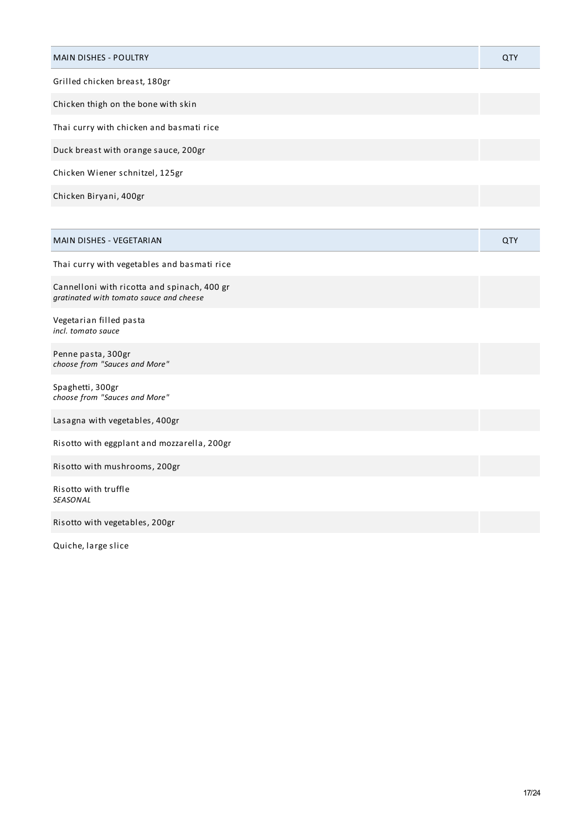| <b>MAIN DISHES - POULTRY</b>                                                           | QTY |
|----------------------------------------------------------------------------------------|-----|
| Grilled chicken breast, 180gr                                                          |     |
| Chicken thigh on the bone with skin                                                    |     |
| Thai curry with chicken and basmati rice                                               |     |
| Duck breast with orange sauce, 200gr                                                   |     |
| Chicken Wiener schnitzel, 125gr                                                        |     |
| Chicken Biryani, 400gr                                                                 |     |
|                                                                                        |     |
| MAIN DISHES - VEGETARIAN                                                               | QTY |
| Thai curry with vegetables and basmati rice                                            |     |
| Cannelloni with ricotta and spinach, 400 gr<br>gratinated with tomato sauce and cheese |     |
| Vegetarian filled pasta<br>incl. tomato sauce                                          |     |
| Penne pasta, 300gr<br>choose from "Sauces and More"                                    |     |
| Spaghetti, 300gr<br>choose from "Sauces and More"                                      |     |
| Lasagna with vegetables, 400gr                                                         |     |
| Risotto with eggplant and mozzarella, 200gr                                            |     |
| Risotto with mushrooms, 200gr                                                          |     |
| Risotto with truffle<br>SEASONAL                                                       |     |
| Risotto with vegetables, 200gr                                                         |     |

Quiche, large slice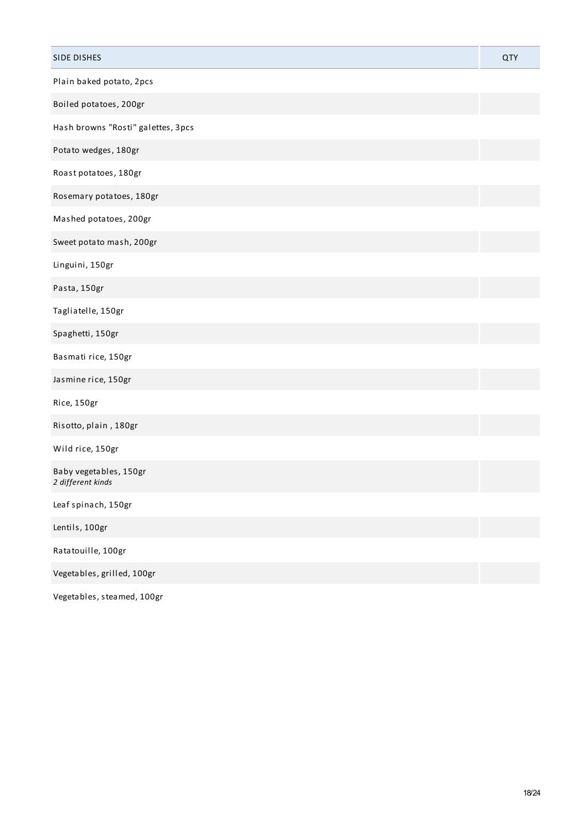| SIDE DISHES                                 | QTY |
|---------------------------------------------|-----|
| Plain baked potato, 2pcs                    |     |
| Boiled potatoes, 200gr                      |     |
| Hash browns "Rosti" galettes, 3pcs          |     |
| Potato wedges, 180gr                        |     |
| Roast potatoes, 180gr                       |     |
| Rosemary potatoes, 180gr                    |     |
| Mashed potatoes, 200gr                      |     |
| Sweet potato mash, 200gr                    |     |
| Linguini, 150gr                             |     |
| Pasta, 150gr                                |     |
| Tagliatelle, 150gr                          |     |
| Spaghetti, 150gr                            |     |
| Basmati rice, 150gr                         |     |
| Jasmine rice, 150gr                         |     |
| Rice, 150gr                                 |     |
| Risotto, plain, 180gr                       |     |
| Wild rice, 150gr                            |     |
| Baby vegetables, 150gr<br>2 different kinds |     |
| Leaf spinach, 150gr                         |     |
| Lentils, 100gr                              |     |
| Ratatouille, 100gr                          |     |
| Vegetables, grilled, 100gr                  |     |
|                                             |     |

Vegetables, steamed, 100gr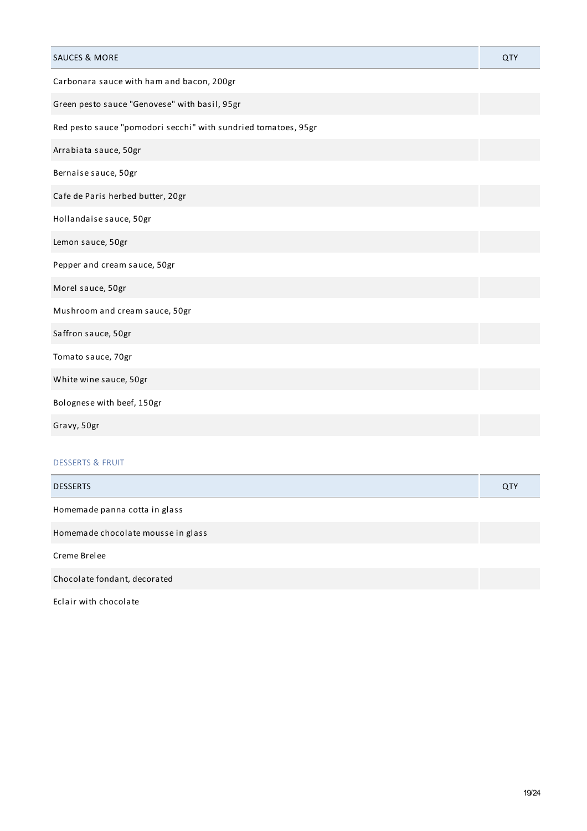| <b>SAUCES &amp; MORE</b>                                       | QTY |
|----------------------------------------------------------------|-----|
| Carbonara sauce with ham and bacon, 200gr                      |     |
| Green pesto sauce "Genovese" with basil, 95gr                  |     |
| Red pesto sauce "pomodori secchi" with sundried tomatoes, 95gr |     |
| Arrabiata sauce, 50gr                                          |     |
| Bernaise sauce, 50gr                                           |     |
| Cafe de Paris herbed butter, 20gr                              |     |
| Hollandaise sauce, 50gr                                        |     |
| Lemon sauce, 50gr                                              |     |
| Pepper and cream sauce, 50gr                                   |     |
| Morel sauce, 50gr                                              |     |
| Mushroom and cream sauce, 50gr                                 |     |
| Saffron sauce, 50gr                                            |     |
| Tomato sauce, 70gr                                             |     |
| White wine sauce, 50gr                                         |     |
| Bolognese with beef, 150gr                                     |     |
| Gravy, 50gr                                                    |     |
| <b>DESSERTS &amp; FRUIT</b>                                    |     |
| <b>DESSERTS</b>                                                | QTY |
| Homemade panna cotta in glass                                  |     |
| Homemade chocolate mousse in glass                             |     |
| Creme Brelee                                                   |     |
| Chocolate fondant, decorated                                   |     |

Eclair with chocolate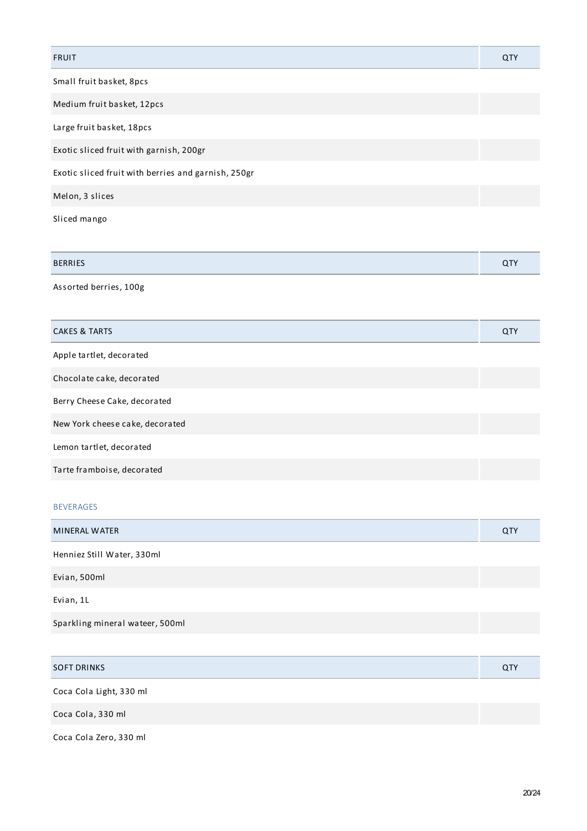| <b>FRUIT</b>                                        | QTY |
|-----------------------------------------------------|-----|
| Small fruit basket, 8pcs                            |     |
| Medium fruit basket, 12pcs                          |     |
| Large fruit basket, 18pcs                           |     |
| Exotic sliced fruit with garnish, 200gr             |     |
| Exotic sliced fruit with berries and garnish, 250gr |     |
| Melon, 3 slices                                     |     |
| Sliced mango                                        |     |

| <b>BERRIES</b> |  |
|----------------|--|
|                |  |

Assorted berries, 100g

| <b>CAKES &amp; TARTS</b>        | <b>QTY</b> |
|---------------------------------|------------|
| Apple tartlet, decorated        |            |
| Chocolate cake, decorated       |            |
| Berry Cheese Cake, decorated    |            |
| New York cheese cake, decorated |            |
| Lemon tartlet, decorated        |            |
| Tarte framboise, decorated      |            |

## BEVERAGES

| MINERAL WATER                   | <b>QTY</b> |
|---------------------------------|------------|
| Henniez Still Water, 330ml      |            |
| Evian, 500ml                    |            |
| Evian, 1L                       |            |
| Sparkling mineral wateer, 500ml |            |
|                                 |            |

| <b>SOFT DRINKS</b>      | QTY |
|-------------------------|-----|
| Coca Cola Light, 330 ml |     |
| Coca Cola, 330 ml       |     |
| Coca Cola Zero, 330 ml  |     |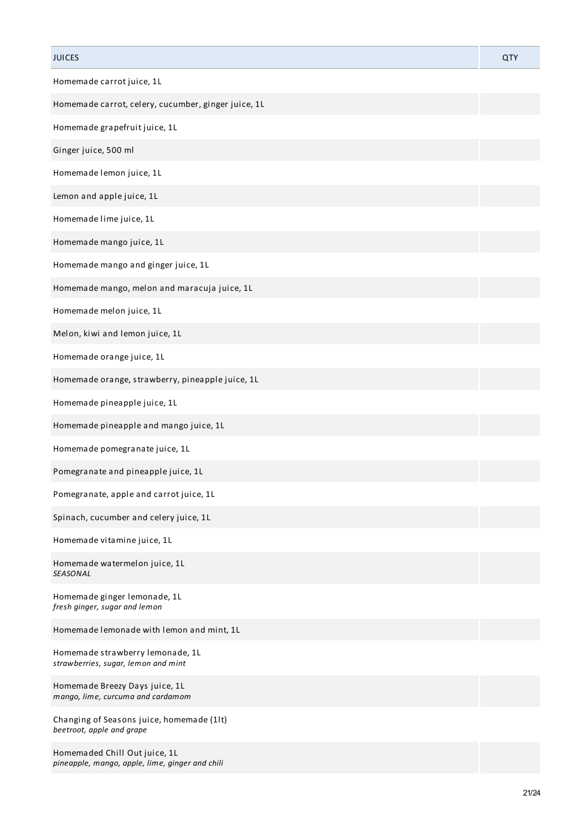| <b>JUICES</b>                                                                    | QTY |
|----------------------------------------------------------------------------------|-----|
| Homemade carrot juice, 1L                                                        |     |
| Homemade carrot, celery, cucumber, ginger juice, 1L                              |     |
| Homemade grapefruit juice, 1L                                                    |     |
| Ginger juice, 500 ml                                                             |     |
| Homemade lemon juice, 1L                                                         |     |
| Lemon and apple juice, 1L                                                        |     |
| Homemade lime juice, 1L                                                          |     |
| Homemade mango juice, 1L                                                         |     |
| Homemade mango and ginger juice, 1L                                              |     |
| Homemade mango, melon and maracuja juice, 1L                                     |     |
| Homemade melon juice, 1L                                                         |     |
| Melon, kiwi and lemon juice, 1L                                                  |     |
| Homemade orange juice, 1L                                                        |     |
| Homemade orange, strawberry, pineapple juice, 1L                                 |     |
| Homemade pineapple juice, 1L                                                     |     |
| Homemade pineapple and mango juice, 1L                                           |     |
| Homemade pomegranate juice, 1L                                                   |     |
| Pomegranate and pineapple juice, 1L                                              |     |
| Pomegranate, apple and carrot juice, 1L                                          |     |
| Spinach, cucumber and celery juice, 1L                                           |     |
| Homemade vitamine juice, 1L                                                      |     |
| Homemade watermelon juice, 1L<br><b>SEASONAL</b>                                 |     |
| Homemade ginger lemonade, 1L<br>fresh ginger, sugar and lemon                    |     |
| Homemade lemonade with lemon and mint, 1L                                        |     |
| Homemade strawberry lemonade, 1L<br>strawberries, sugar, lemon and mint          |     |
| Homemade Breezy Days juice, 1L<br>mango, lime, curcuma and cardamom              |     |
| Changing of Seasons juice, homemade (1lt)<br>beetroot, apple and grape           |     |
| Homemaded Chill Out juice, 1L<br>pineapple, mango, apple, lime, ginger and chili |     |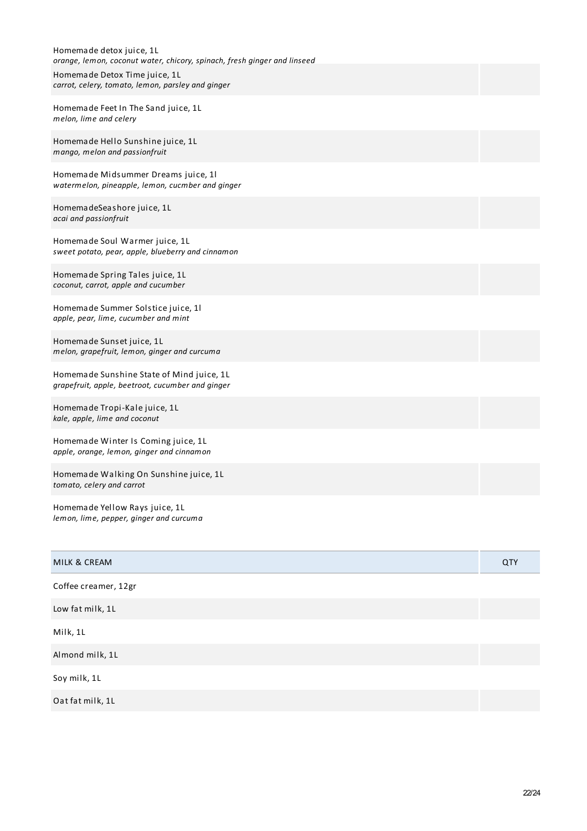| Homemade detox juice, 1L<br>orange, lemon, coconut water, chicory, spinach, fresh ginger and linseed<br>Homemade Detox Time juice, 1L<br>carrot, celery, tomato, lemon, parsley and ginger |  |
|--------------------------------------------------------------------------------------------------------------------------------------------------------------------------------------------|--|
| Homemade Feet In The Sand juice, 1L<br>melon, lime and celery                                                                                                                              |  |
| Homemade Hello Sunshine juice, 1L<br>mango, melon and passionfruit                                                                                                                         |  |
| Homemade Midsummer Dreams juice, 11<br>watermelon, pineapple, lemon, cucmber and ginger                                                                                                    |  |
| HomemadeSeashore juice, 1L<br>acai and passionfruit                                                                                                                                        |  |
| Homemade Soul Warmer juice, 1L<br>sweet potato, pear, apple, blueberry and cinnamon                                                                                                        |  |
| Homemade Spring Tales juice, 1L<br>coconut, carrot, apple and cucumber                                                                                                                     |  |
| Homemade Summer Solstice juice, 11<br>apple, pear, lime, cucumber and mint                                                                                                                 |  |
| Homemade Sunset juice, 1L<br>melon, grapefruit, lemon, ginger and curcuma                                                                                                                  |  |
| Homemade Sunshine State of Mind juice, 1L<br>grapefruit, apple, beetroot, cucumber and ginger                                                                                              |  |
| Homemade Tropi-Kale juice, 1L<br>kale, apple, lime and coconut                                                                                                                             |  |
| Homemade Winter Is Coming juice, 1L<br>apple, orange, lemon, ginger and cinnamon                                                                                                           |  |
| Homemade Walking On Sunshine juice, 1L<br>tomato, celery and carrot                                                                                                                        |  |
| Homemade Yellow Rays juice, 1L<br>lemon, lime, pepper, ginger and curcuma                                                                                                                  |  |

| MILK & CREAM         | QTY |
|----------------------|-----|
| Coffee creamer, 12gr |     |
| Low fat milk, 1L     |     |
| Milk, 1L             |     |
| Almond milk, 1L      |     |
| Soy milk, 1L         |     |
| Oat fat milk, 1L     |     |
|                      |     |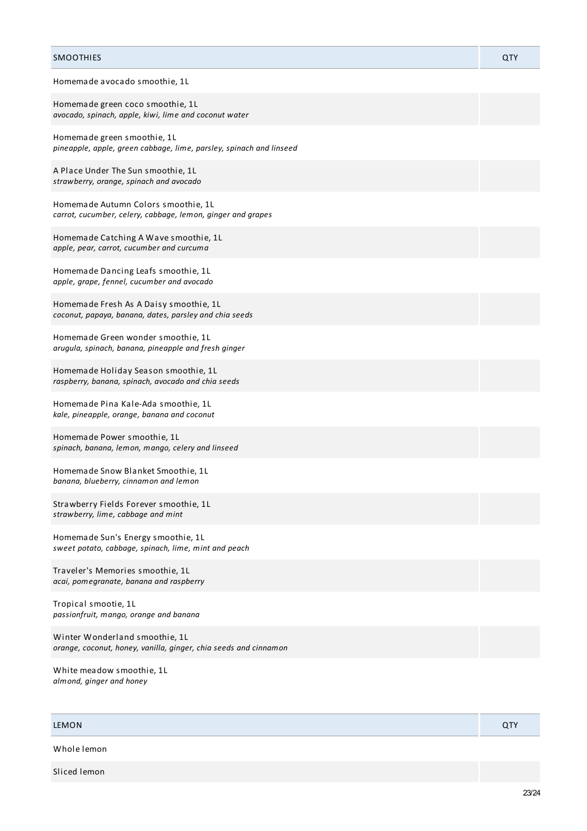## SMOOTHIES QTY Homemade avocado smoothie, 1L Homemade green coco smoothie, 1L *avocado, spinach, apple, kiwi, lime and coconut water* Homemade green smoothie, 1L *pineapple, apple, green cabbage, lime, parsley, spinach and linseed* A Place Under The Sun smoothie, 1L *strawberry, orange, spinach and avocado* Homemade Autumn Colors smoothie, 1L *carrot, cucumber, celery, cabbage, lemon, ginger and grapes* Homemade Catching A Wave smoothie, 1L *apple, pear, carrot, cucumber and curcuma* Homemade Dancing Leafs smoothie, 1L *apple, grape, fennel, cucumber and avocado* Homemade Fresh As A Daisy smoothie, 1L *coconut, papaya, banana, dates, parsley and chia seeds* Homemade Green wonder smoothie, 1L *arugula, spinach, banana, pineapple and fresh ginger* Homemade Holiday Season smoothie, 1L *raspberry, banana, spinach, avocado and chia seeds* Homemade Pina Kale-Ada smoothie, 1L *kale, pineapple, orange, banana and coconut* Homemade Power smoothie, 1L *spinach, banana, lemon, mango, celery and linseed* Homemade Snow Blanket Smoothie, 1L *banana, blueberry, cinnamon and lemon* Strawberry Fields Forever smoothie, 1L *strawberry, lime, cabbage and mint* Homemade Sun's Energy smoothie, 1L *sweet potato, cabbage, spinach, lime, mint and peach* Traveler's Memories smoothie, 1L *acai, pomegranate, banana and raspberry* Tropical smootie, 1L

Winter Wonderland smoothie, 1L *orange, coconut, honey, vanilla, ginger, chia seeds and cinnamon*

White meadow smoothie, 1L *almond, ginger and honey*

*passionfruit, mango, orange and banana*

## LEMON CONTROL CONTROL CONTROL CONTROL CONTROL CONTROL CONTROL CONTROL CONTROL CONTROL CONTROL CONTROL CONTROL

Whole lemon

Sliced lemon